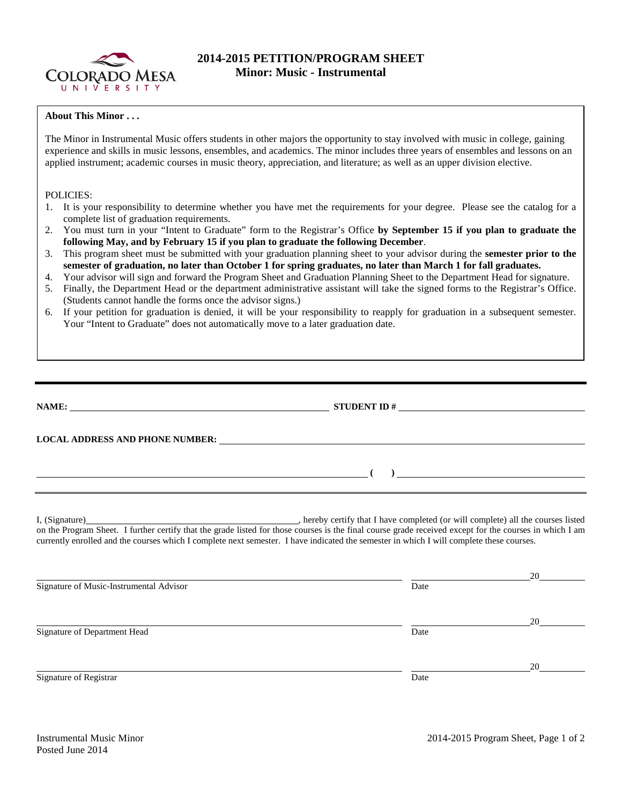

## **2014-2015 PETITION/PROGRAM SHEET Minor: Music - Instrumental**

## **About This Minor . . .**

The Minor in Instrumental Music offers students in other majors the opportunity to stay involved with music in college, gaining experience and skills in music lessons, ensembles, and academics. The minor includes three years of ensembles and lessons on an applied instrument; academic courses in music theory, appreciation, and literature; as well as an upper division elective.

## POLICIES:

- 1. It is your responsibility to determine whether you have met the requirements for your degree. Please see the catalog for a complete list of graduation requirements.
- 2. You must turn in your "Intent to Graduate" form to the Registrar's Office **by September 15 if you plan to graduate the following May, and by February 15 if you plan to graduate the following December**.
- 3. This program sheet must be submitted with your graduation planning sheet to your advisor during the **semester prior to the semester of graduation, no later than October 1 for spring graduates, no later than March 1 for fall graduates.**
- 4. Your advisor will sign and forward the Program Sheet and Graduation Planning Sheet to the Department Head for signature.
- 5. Finally, the Department Head or the department administrative assistant will take the signed forms to the Registrar's Office. (Students cannot handle the forms once the advisor signs.)
- 6. If your petition for graduation is denied, it will be your responsibility to reapply for graduation in a subsequent semester. Your "Intent to Graduate" does not automatically move to a later graduation date.

|                                         | NAME: $\overline{\phantom{a}}$ STUDENT ID # $\overline{\phantom{a}}$                                                                                                                                                                                                                                |    |
|-----------------------------------------|-----------------------------------------------------------------------------------------------------------------------------------------------------------------------------------------------------------------------------------------------------------------------------------------------------|----|
|                                         | LOCAL ADDRESS AND PHONE NUMBER: Under Annual Phone Contract and Annual Phone Contract and Annual Phone Contract and Annual Phone Contract and Annual Phone Contract and Annual Phone Contract and Annual Phone Contract and An                                                                      |    |
|                                         | $\overline{a}$ (b) and the contract of $\overline{a}$ (b) and the contract of $\overline{a}$ (b) and the contract of $\overline{a}$<br>,我们也不会有什么。""我们的人,我们也不会有什么?""我们的人,我们也不会有什么?""我们的人,我们也不会有什么?""我们的人,我们也不会有什么?""我们的人                                                                             |    |
|                                         | on the Program Sheet. I further certify that the grade listed for those courses is the final course grade received except for the courses in which I am<br>currently enrolled and the courses which I complete next semester. I have indicated the semester in which I will complete these courses. |    |
| Signature of Music-Instrumental Advisor | Date                                                                                                                                                                                                                                                                                                | 20 |
| Signature of Department Head            | Date                                                                                                                                                                                                                                                                                                |    |

Signature of Registrar Date Date and Security and Security and Security and Security and Security and Security and Security and Security and Security and Security and Security and Security and Security and Security and Sec

20